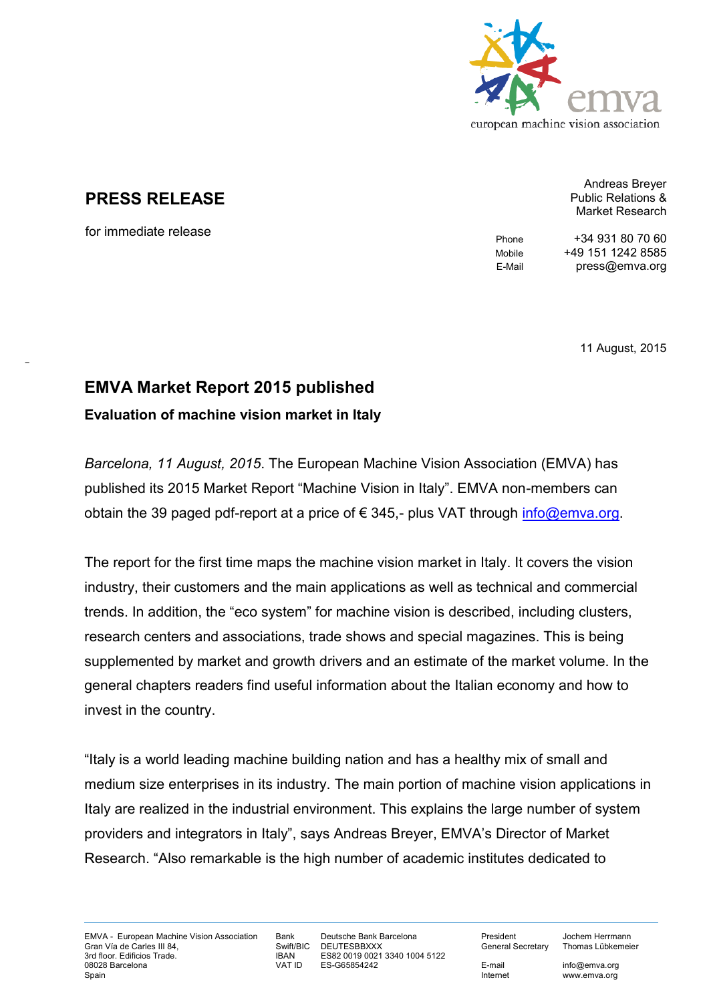

## **PRESS RELEASE**

for immediate release

 $\mathcal{L}(\mathcal{L})$ 

Andreas Breyer Public Relations & Market Research

Phone +34 931 80 70 60 Mobile +49 151 1242 8585 E-Mail press@emva.org

11 August, 2015

## **EMVA Market Report 2015 published**

**Evaluation of machine vision market in Italy** 

*Barcelona, 11 August, 2015*. The European Machine Vision Association (EMVA) has published its 2015 Market Report "Machine Vision in Italy". EMVA non-members can obtain the 39 paged pdf-report at a price of € 345,- plus VAT through [info@emva.org.](mailto:info@emva.org)

The report for the first time maps the machine vision market in Italy. It covers the vision industry, their customers and the main applications as well as technical and commercial trends. In addition, the "eco system" for machine vision is described, including clusters, research centers and associations, trade shows and special magazines. This is being supplemented by market and growth drivers and an estimate of the market volume. In the general chapters readers find useful information about the Italian economy and how to invest in the country.

"Italy is a world leading machine building nation and has a healthy mix of small and medium size enterprises in its industry. The main portion of machine vision applications in Italy are realized in the industrial environment. This explains the large number of system providers and integrators in Italy", says Andreas Breyer, EMVA's Director of Market Research. "Also remarkable is the high number of academic institutes dedicated to

Bank Deutsche Bank Barcelona<br>Swift/BIC DEUTESBBXXX DEUTESBBXXX IBAN ES82 0019 0021 3340 1004 5122<br>VAT ID ES-G65854242 ES-G65854242

President Jochem Herrmann General Secretary Thomas Lübkemeier

E-mail info@emva.org<br>Internet www.emva.org www.emva.org